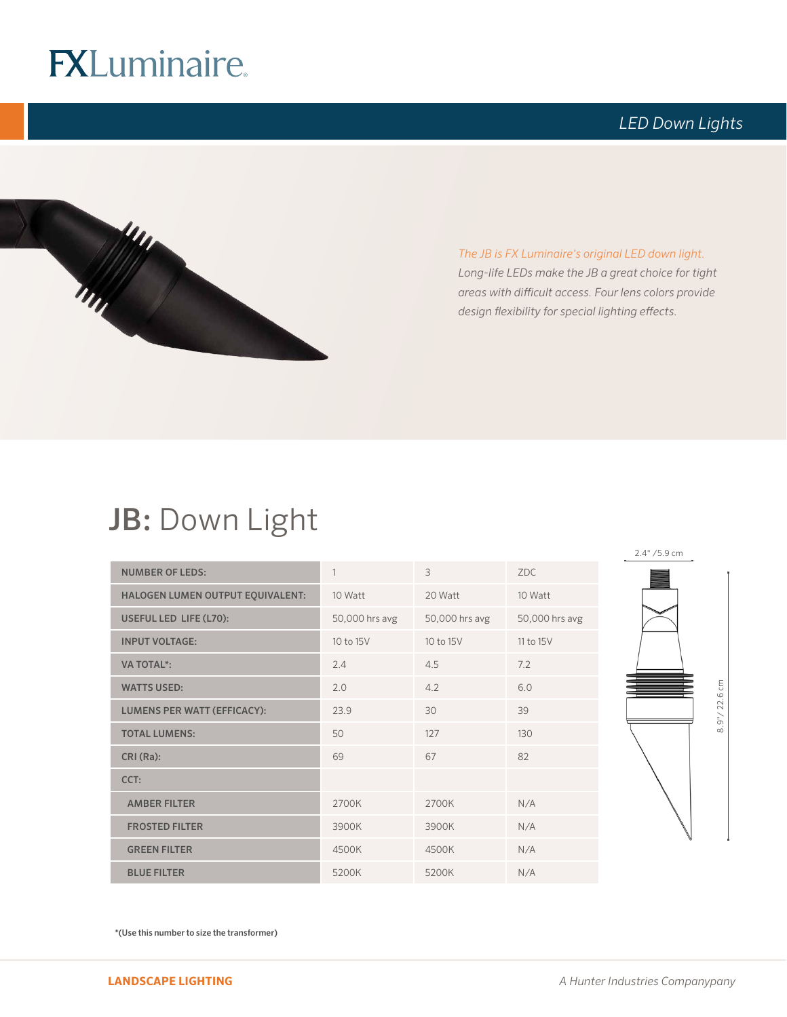## **FXLuminaire.**

### *LED Down Lights*



*The JB is FX Luminaire's original LED down light. Long-life LEDs make the JB a great choice for tight areas with difficult access. Four lens colors provide design flexibility for special lighting effects.*

### JB: Down Light

| <b>NUMBER OF LEDS:</b>             | 1              | 3              | <b>ZDC</b>     |
|------------------------------------|----------------|----------------|----------------|
| HALOGEN LUMEN OUTPUT EQUIVALENT:   | 10 Watt        | 20 Watt        | 10 Watt        |
| USEFUL LED LIFE (L70):             | 50,000 hrs avg | 50,000 hrs avg | 50,000 hrs avg |
| <b>INPUT VOLTAGE:</b>              | 10 to 15V      | 10 to 15V      | 11 to 15V      |
| <b>VA TOTAL*:</b>                  | 2.4            | 4.5            | 7.2            |
| <b>WATTS USED:</b>                 | 2.0            | 4.2            | 6.0            |
| <b>LUMENS PER WATT (EFFICACY):</b> | 23.9           | 30             | 39             |
| <b>TOTAL LUMENS:</b>               | 50             | 127            | 130            |
| CRI(Ra):                           | 69             | 67             | 82             |
| CCT:                               |                |                |                |
| <b>AMBER FILTER</b>                | 2700K          | 2700K          | N/A            |
| <b>FROSTED FILTER</b>              | 3900K          | 3900K          | N/A            |
| <b>GREEN FILTER</b>                | 4500K          | 4500K          | N/A            |
| <b>BLUE FILTER</b>                 | 5200K          | 5200K          | N/A            |

2.4" /5.9 cm 8.9"/22.6 cm 8.9"/ 22.6 cm

\*(Use this number to size the transformer)